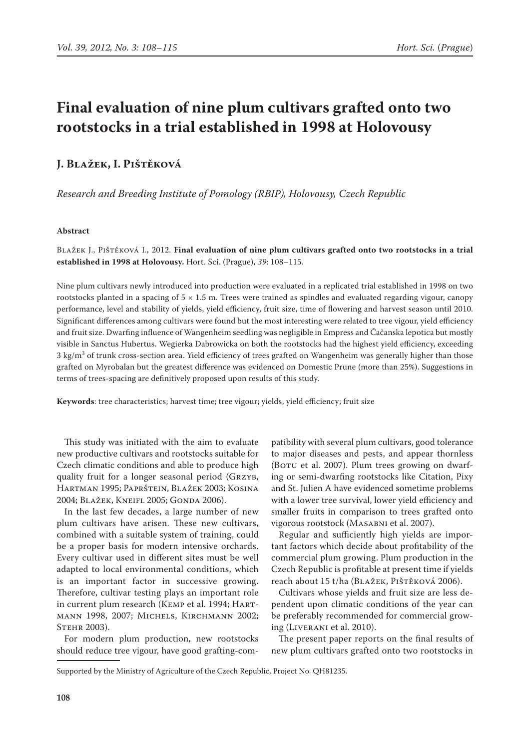# **Final evaluation of nine plum cultivars grafted onto two rootstocks in a trial established in 1998 at Holovousy**

# **J. Blažek, I. Pištěková**

*Research and Breeding Institute of Pomology (RBIP), Holovousy, Czech Republic*

## **Abstract**

Blažek J., Pištěková I., 2012. **Final evaluation of nine plum cultivars grafted onto two rootstocks in a trial established in 1998 at Holovousy.** Hort. Sci. (Prague), *39*: 108–115.

Nine plum cultivars newly introduced into production were evaluated in a replicated trial established in 1998 on two rootstocks planted in a spacing of  $5 \times 1.5$  m. Trees were trained as spindles and evaluated regarding vigour, canopy performance, level and stability of yields, yield efficiency, fruit size, time of flowering and harvest season until 2010. Significant differences among cultivars were found but the most interesting were related to tree vigour, yield efficiency and fruit size. Dwarfing influence of Wangenheim seedling was negligible in Empress and Čačanska lepotica but mostly visible in Sanctus Hubertus. Wegierka Dabrowicka on both the rootstocks had the highest yield efficiency, exceeding 3 kg/m<sup>3</sup> of trunk cross-section area. Yield efficiency of trees grafted on Wangenheim was generally higher than those grafted on Myrobalan but the greatest difference was evidenced on Domestic Prune (more than 25%). Suggestions in terms of trees-spacing are definitively proposed upon results of this study.

**Keywords**: tree characteristics; harvest time; tree vigour; yields, yield efficiency; fruit size

This study was initiated with the aim to evaluate new productive cultivars and rootstocks suitable for Czech climatic conditions and able to produce high quality fruit for a longer seasonal period (Grzyb, Hartman 1995; Paprštein, Blažek 2003; Kosina 2004; Blažek, Kneifl 2005; Gonda 2006).

In the last few decades, a large number of new plum cultivars have arisen. These new cultivars, combined with a suitable system of training, could be a proper basis for modern intensive orchards. Every cultivar used in different sites must be well adapted to local environmental conditions, which is an important factor in successive growing. Therefore, cultivar testing plays an important role in current plum research (Kemp et al. 1994; Hartmann 1998, 2007; Michels, Kirchmann 2002; STEHR 2003).

For modern plum production, new rootstocks should reduce tree vigour, have good grafting-com-

patibility with several plum cultivars, good tolerance to major diseases and pests, and appear thornless (Boru et al. 2007). Plum trees growing on dwarfing or semi-dwarfing rootstocks like Citation, Pixy and St. Julien A have evidenced sometime problems with a lower tree survival, lower yield efficiency and smaller fruits in comparison to trees grafted onto vigorous rootstock (Masabni et al. 2007).

Regular and sufficiently high yields are important factors which decide about profitability of the commercial plum growing. Plum production in the Czech Republic is profitable at present time if yields reach about 15 t/ha (BLAŽEK, PIŠTĚKOVÁ 2006).

Cultivars whose yields and fruit size are less dependent upon climatic conditions of the year can be preferably recommended for commercial growing (Liverani et al. 2010).

The present paper reports on the final results of new plum cultivars grafted onto two rootstocks in

Supported by the Ministry of Agriculture of the Czech Republic, Project No. QH81235.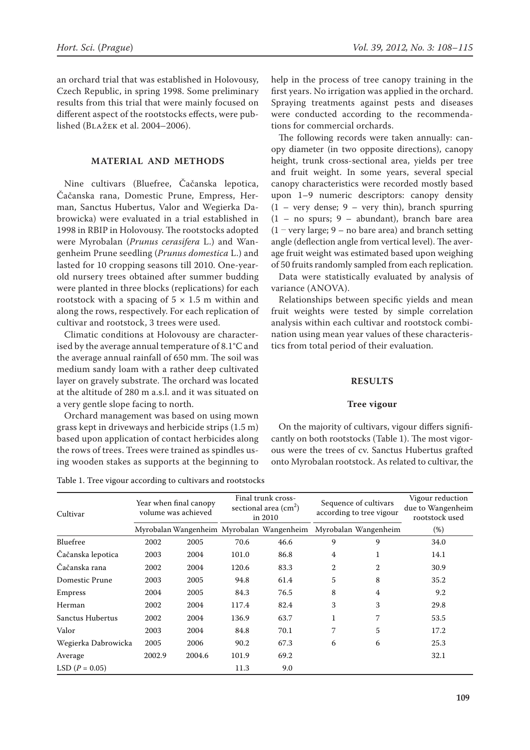an orchard trial that was established in Holovousy, Czech Republic, in spring 1998. Some preliminary results from this trial that were mainly focused on different aspect of the rootstocks effects, were published (Blažek et al. 2004–2006).

# **MATERIAL AND METHODS**

Nine cultivars (Bluefree, Čačanska lepotica, Čačanska rana, Domestic Prune, Empress, Herman, Sanctus Hubertus, Valor and Wegierka Dabrowicka) were evaluated in a trial established in 1998 in RBIP in Holovousy. The rootstocks adopted were Myrobalan (*Prunus cerasifera* L.) and Wangenheim Prune seedling (*Prunus domestica* L.) and lasted for 10 cropping seasons till 2010. One-yearold nursery trees obtained after summer budding were planted in three blocks (replications) for each rootstock with a spacing of  $5 \times 1.5$  m within and along the rows, respectively. For each replication of cultivar and rootstock, 3 trees were used.

Climatic conditions at Holovousy are characterised by the average annual temperature of 8.1°C and the average annual rainfall of 650 mm. The soil was medium sandy loam with a rather deep cultivated layer on gravely substrate. The orchard was located at the altitude of 280 m a.s.l. and it was situated on a very gentle slope facing to north.

Orchard management was based on using mown grass kept in driveways and herbicide strips (1.5 m) based upon application of contact herbicides along the rows of trees. Trees were trained as spindles using wooden stakes as supports at the beginning to help in the process of tree canopy training in the first years. No irrigation was applied in the orchard. Spraying treatments against pests and diseases were conducted according to the recommendations for commercial orchards.

The following records were taken annually: canopy diameter (in two opposite directions), canopy height, trunk cross-sectional area, yields per tree and fruit weight. In some years, several special canopy characteristics were recorded mostly based upon 1–9 numeric descriptors: canopy density  $(1 - \text{very dense}; 9 - \text{very thin})$ , branch spurring (1 – no spurs; 9 – abundant), branch bare area  $(1 - \text{very large}; 9 - \text{no bare area})$  and branch setting angle (deflection angle from vertical level). The average fruit weight was estimated based upon weighing of 50 fruits randomly sampled from each replication.

Data were statistically evaluated by analysis of variance (ANOVA).

Relationships between specific yields and mean fruit weights were tested by simple correlation analysis within each cultivar and rootstock combination using mean year values of these characteristics from total period of their evaluation.

### **RESULTS**

#### **Tree vigour**

On the majority of cultivars, vigour differs significantly on both rootstocks (Table 1). The most vigorous were the trees of cv. Sanctus Hubertus grafted onto Myrobalan rootstock. As related to cultivar, the

|  |  |  |  |  |  |  |  | Table 1. Tree vigour according to cultivars and rootstocks |  |  |  |
|--|--|--|--|--|--|--|--|------------------------------------------------------------|--|--|--|
|--|--|--|--|--|--|--|--|------------------------------------------------------------|--|--|--|

| Cultivar            |        | Year when final canopy<br>volume was achieved |       | Final trunk cross-<br>sectional area $\text{(cm}^2\text{)}$<br>in 2010 |                | Sequence of cultivars<br>according to tree vigour | Vigour reduction<br>due to Wangenheim<br>rootstock used |
|---------------------|--------|-----------------------------------------------|-------|------------------------------------------------------------------------|----------------|---------------------------------------------------|---------------------------------------------------------|
|                     |        |                                               |       | Myrobalan Wangenheim Myrobalan Wangenheim                              |                | Myrobalan Wangenheim                              | $(\%)$                                                  |
| Bluefree            | 2002   | 2005                                          | 70.6  | 46.6                                                                   | 9              | 9                                                 | 34.0                                                    |
| Čačanska lepotica   | 2003   | 2004                                          | 101.0 | 86.8                                                                   | $\overline{4}$ | 1                                                 | 14.1                                                    |
| Čačanska rana       | 2002   | 2004                                          | 120.6 | 83.3                                                                   | $\overline{2}$ | $\overline{2}$                                    | 30.9                                                    |
| Domestic Prune      | 2003   | 2005                                          | 94.8  | 61.4                                                                   | 5              | 8                                                 | 35.2                                                    |
| Empress             | 2004   | 2005                                          | 84.3  | 76.5                                                                   | 8              | 4                                                 | 9.2                                                     |
| Herman              | 2002   | 2004                                          | 117.4 | 82.4                                                                   | 3              | 3                                                 | 29.8                                                    |
| Sanctus Hubertus    | 2002   | 2004                                          | 136.9 | 63.7                                                                   | 1              | 7                                                 | 53.5                                                    |
| Valor               | 2003   | 2004                                          | 84.8  | 70.1                                                                   | 7              | 5                                                 | 17.2                                                    |
| Wegierka Dabrowicka | 2005   | 2006                                          | 90.2  | 67.3                                                                   | 6              | 6                                                 | 25.3                                                    |
| Average             | 2002.9 | 2004.6                                        | 101.9 | 69.2                                                                   |                |                                                   | 32.1                                                    |
| LSD $(P = 0.05)$    |        |                                               | 11.3  | 9.0                                                                    |                |                                                   |                                                         |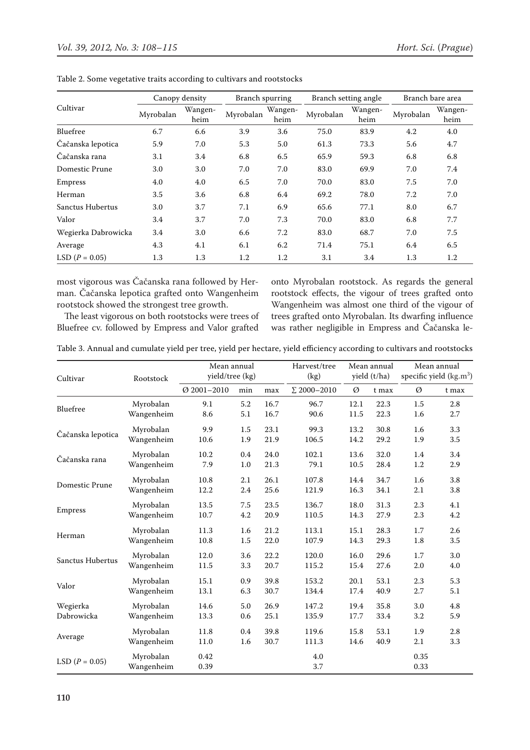|                     | Canopy density |                 | Branch spurring |                 | Branch setting angle |                 | Branch bare area |                 |  |
|---------------------|----------------|-----------------|-----------------|-----------------|----------------------|-----------------|------------------|-----------------|--|
| Cultivar            | Myrobalan      | Wangen-<br>heim | Myrobalan       | Wangen-<br>heim | Myrobalan            | Wangen-<br>heim | Myrobalan        | Wangen-<br>heim |  |
| Bluefree            | 6.7            | 6.6             | 3.9             | 3.6             | 75.0                 | 83.9            | 4.2              | 4.0             |  |
| Čačanska lepotica   | 5.9            | 7.0             | 5.3             | 5.0             | 61.3                 | 73.3            | 5.6              | 4.7             |  |
| Čačanska rana       | 3.1            | 3.4             | 6.8             | 6.5             | 65.9                 | 59.3            | 6.8              | 6.8             |  |
| Domestic Prune      | 3.0            | 3.0             | 7.0             | 7.0             | 83.0                 | 69.9            | 7.0              | 7.4             |  |
| Empress             | 4.0            | 4.0             | 6.5             | 7.0             | 70.0                 | 83.0            | 7.5              | 7.0             |  |
| Herman              | 3.5            | 3.6             | 6.8             | 6.4             | 69.2                 | 78.0            | 7.2              | 7.0             |  |
| Sanctus Hubertus    | 3.0            | 3.7             | 7.1             | 6.9             | 65.6                 | 77.1            | 8.0              | 6.7             |  |
| Valor               | 3.4            | 3.7             | 7.0             | 7.3             | 70.0                 | 83.0            | 6.8              | 7.7             |  |
| Wegierka Dabrowicka | 3.4            | 3.0             | 6.6             | 7.2             | 83.0                 | 68.7            | 7.0              | 7.5             |  |
| Average             | 4.3            | 4.1             | 6.1             | 6.2             | 71.4                 | 75.1            | 6.4              | 6.5             |  |
| LSD $(P = 0.05)$    | 1.3            | 1.3             | 1.2             | 1.2             | 3.1                  | 3.4             | 1.3              | 1.2             |  |

Table 2. Some vegetative traits according to cultivars and rootstocks

most vigorous was Čačanska rana followed by Herman. Čačanska lepotica grafted onto Wangenheim rootstock showed the strongest tree growth.

The least vigorous on both rootstocks were trees of Bluefree cv. followed by Empress and Valor grafted

onto Myrobalan rootstock. As regards the general rootstock effects, the vigour of trees grafted onto Wangenheim was almost one third of the vigour of trees grafted onto Myrobalan. Its dwarfing influence was rather negligible in Empress and Čačanska le-

|  |  |  |  |  |  |  |  |  |  |  | Table 3. Annual and cumulate yield per tree, yield per hectare, yield efficiency according to cultivars and rootstocks |  |  |  |  |
|--|--|--|--|--|--|--|--|--|--|--|------------------------------------------------------------------------------------------------------------------------|--|--|--|--|
|--|--|--|--|--|--|--|--|--|--|--|------------------------------------------------------------------------------------------------------------------------|--|--|--|--|

| Cultivar          | Rootstock               | Mean annual<br>yield/tree (kg) |         |      | Harvest/tree<br>(kg) |      | Mean annual<br>yield (t/ha) | Mean annual<br>specific yield $(kg.m3)$ |       |
|-------------------|-------------------------|--------------------------------|---------|------|----------------------|------|-----------------------------|-----------------------------------------|-------|
|                   |                         | $Ø$ 2001-2010                  | min     | max  | $\Sigma$ 2000-2010   | Ø    | t max                       | Ø                                       | t max |
| Bluefree          | Myrobalan               | 9.1                            | 5.2     | 16.7 | 96.7                 | 12.1 | 22.3                        | 1.5                                     | 2.8   |
|                   | Wangenheim              | 8.6                            | 5.1     | 16.7 | 90.6                 | 11.5 | 22.3                        | 1.6                                     | 2.7   |
| Čačanska lepotica | Myrobalan               | 9.9                            | $1.5\,$ | 23.1 | 99.3                 | 13.2 | 30.8                        | 1.6                                     | 3.3   |
|                   | Wangenheim              | 10.6                           | 1.9     | 21.9 | 106.5                | 14.2 | 29.2                        | 1.9                                     | 3.5   |
| Čačanska rana     | Myrobalan               | 10.2                           | 0.4     | 24.0 | 102.1                | 13.6 | 32.0                        | 1.4                                     | 3.4   |
|                   | Wangenheim              | 7.9                            | 1.0     | 21.3 | 79.1                 | 10.5 | 28.4                        | 1.2                                     | 2.9   |
| Domestic Prune    | Myrobalan               | 10.8                           | 2.1     | 26.1 | 107.8                | 14.4 | 34.7                        | 1.6                                     | 3.8   |
|                   | Wangenheim              | 12.2                           | 2.4     | 25.6 | 121.9                | 16.3 | 34.1                        | 2.1                                     | 3.8   |
| Empress           | Myrobalan               | 13.5                           | 7.5     | 23.5 | 136.7                | 18.0 | 31.3                        | 2.3                                     | 4.1   |
|                   | Wangenheim              | 10.7                           | 4.2     | 20.9 | 110.5                | 14.3 | 27.9                        | 2.3                                     | 4.2   |
| Herman            | Myrobalan               | 11.3                           | 1.6     | 21.2 | 113.1                | 15.1 | 28.3                        | 1.7                                     | 2.6   |
|                   | Wangenheim              | 10.8                           | 1.5     | 22.0 | 107.9                | 14.3 | 29.3                        | 1.8                                     | 3.5   |
| Sanctus Hubertus  | Myrobalan               | 12.0                           | 3.6     | 22.2 | 120.0                | 16.0 | 29.6                        | 1.7                                     | 3.0   |
|                   | Wangenheim              | 11.5                           | 3.3     | 20.7 | 115.2                | 15.4 | 27.6                        | 2.0                                     | 4.0   |
| Valor             | Myrobalan               | 15.1                           | 0.9     | 39.8 | 153.2                | 20.1 | 53.1                        | 2.3                                     | 5.3   |
|                   | Wangenheim              | 13.1                           | 6.3     | 30.7 | 134.4                | 17.4 | 40.9                        | 2.7                                     | 5.1   |
| Wegierka          | Myrobalan               | 14.6                           | 5.0     | 26.9 | 147.2                | 19.4 | 35.8                        | 3.0                                     | 4.8   |
| Dabrowicka        | Wangenheim              | 13.3                           | 0.6     | 25.1 | 135.9                | 17.7 | 33.4                        | 3.2                                     | 5.9   |
| Average           | Myrobalan               | 11.8                           | 0.4     | 39.8 | 119.6                | 15.8 | 53.1                        | 1.9                                     | 2.8   |
|                   | Wangenheim              | 11.0                           | 1.6     | 30.7 | 111.3                | 14.6 | 40.9                        | 2.1                                     | 3.3   |
| LSD $(P = 0.05)$  | Myrobalan<br>Wangenheim | 0.42<br>0.39                   |         |      | 4.0<br>3.7           |      |                             | 0.35<br>0.33                            |       |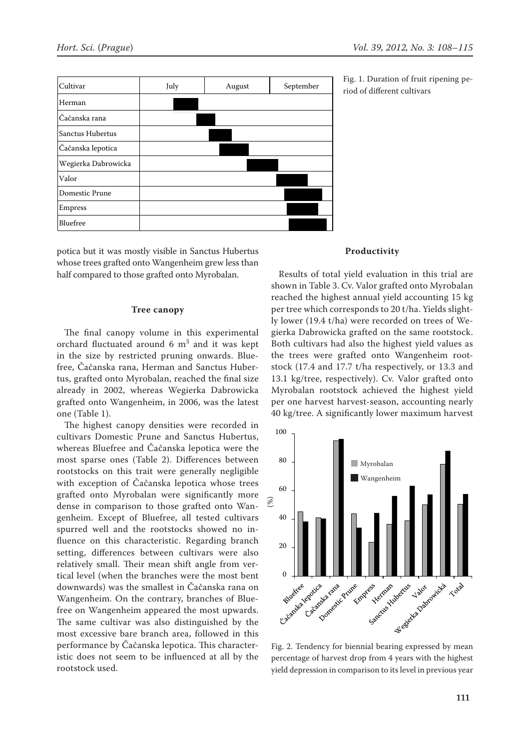

potica but it was mostly visible in Sanctus Hubertus whose trees grafted onto Wangenheim grew less than half compared to those grafted onto Myrobalan.

#### **Tree canopy**

The final canopy volume in this experimental orchard fluctuated around  $6 \text{ m}^3$  and it was kept in the size by restricted pruning onwards. Bluefree, Čačanska rana, Herman and Sanctus Hubertus, grafted onto Myrobalan, reached the final size already in 2002, whereas Wegierka Dabrowicka grafted onto Wangenheim, in 2006, was the latest one (Table 1).

The highest canopy densities were recorded in cultivars Domestic Prune and Sanctus Hubertus, whereas Bluefree and Čačanska lepotica were the most sparse ones (Table 2). Differences between rootstocks on this trait were generally negligible with exception of Čačanska lepotica whose trees grafted onto Myrobalan were significantly more dense in comparison to those grafted onto Wangenheim. Except of Bluefree, all tested cultivars spurred well and the rootstocks showed no influence on this characteristic. Regarding branch setting, differences between cultivars were also relatively small. Their mean shift angle from vertical level (when the branches were the most bent downwards) was the smallest in Čačanska rana on Wangenheim. On the contrary, branches of Bluefree on Wangenheim appeared the most upwards. The same cultivar was also distinguished by the most excessive bare branch area, followed in this performance by Čačanska lepotica. This characteristic does not seem to be influenced at all by the rootstock used.

riod of different cultivars

#### **Productivity**

Results of total yield evaluation in this trial are shown in Table 3. Cv. Valor grafted onto Myrobalan reached the highest annual yield accounting 15 kg per tree which corresponds to 20 t/ha. Yields slightly lower (19.4 t/ha) were recorded on trees of Wegierka Dabrowicka grafted on the same rootstock. Both cultivars had also the highest yield values as the trees were grafted onto Wangenheim rootstock (17.4 and 17.7 t/ha respectively, or 13.3 and 13.1 kg/tree, respectively). Cv. Valor grafted onto Myrobalan rootstock achieved the highest yield per one harvest harvest-season, accounting nearly 40 kg/tree. A significantly lower maximum harvest



Fig. 2. Tendency for biennial bearing expressed by mean percentage of harvest drop from 4 years with the highest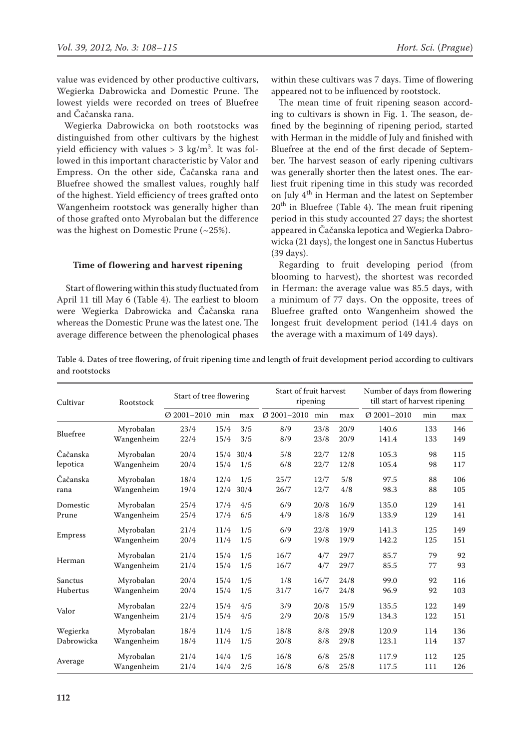value was evidenced by other productive cultivars, Wegierka Dabrowicka and Domestic Prune. The lowest yields were recorded on trees of Bluefree and Čačanska rana.

Wegierka Dabrowicka on both rootstocks was distinguished from other cultivars by the highest yield efficiency with values >  $3 \text{ kg/m}^3$ . It was followed in this important characteristic by Valor and Empress. On the other side, Čačanska rana and Bluefree showed the smallest values, roughly half of the highest. Yield efficiency of trees grafted onto Wangenheim rootstock was generally higher than of those grafted onto Myrobalan but the difference was the highest on Domestic Prune (~25%).

#### **Time of flowering and harvest ripening**

 Start of flowering within this study fluctuated from April 11 till May 6 (Table 4). The earliest to bloom were Wegierka Dabrowicka and Čačanska rana whereas the Domestic Prune was the latest one. The average difference between the phenological phases within these cultivars was 7 days. Time of flowering appeared not to be influenced by rootstock.

The mean time of fruit ripening season according to cultivars is shown in Fig. 1. The season, defined by the beginning of ripening period, started with Herman in the middle of July and finished with Bluefree at the end of the first decade of September. The harvest season of early ripening cultivars was generally shorter then the latest ones. The earliest fruit ripening time in this study was recorded on July 4<sup>th</sup> in Herman and the latest on September  $20<sup>th</sup>$  in Bluefree (Table 4). The mean fruit ripening period in this study accounted 27 days; the shortest appeared in Čačanska lepotica and Wegierka Dabrowicka (21 days), the longest one in Sanctus Hubertus (39 days).

Regarding to fruit developing period (from blooming to harvest), the shortest was recorded in Herman: the average value was 85.5 days, with a minimum of 77 days. On the opposite, trees of Bluefree grafted onto Wangenheim showed the longest fruit development period (141.4 days on the average with a maximum of 149 days).

Table 4. Dates of tree flowering, of fruit ripening time and length of fruit development period according to cultivars and rootstocks

| Cultivar   | Rootstock  | Start of tree flowering |      |      | Start of fruit harvest | ripening |      | Number of days from flowering<br>till start of harvest ripening |     |     |  |
|------------|------------|-------------------------|------|------|------------------------|----------|------|-----------------------------------------------------------------|-----|-----|--|
|            |            | $Q$ 2001-2010           | min  | max  | $Q$ 2001-2010          | min      | max  | $Q$ 2001-2010                                                   | min | max |  |
| Bluefree   | Myrobalan  | 23/4                    | 15/4 | 3/5  | 8/9                    | 23/8     | 20/9 | 140.6                                                           | 133 | 146 |  |
|            | Wangenheim | 22/4                    | 15/4 | 3/5  | 8/9                    | 23/8     | 20/9 | 141.4                                                           | 133 | 149 |  |
| Čačanska   | Myrobalan  | 20/4                    | 15/4 | 30/4 | 5/8                    | 22/7     | 12/8 | 105.3                                                           | 98  | 115 |  |
| lepotica   | Wangenheim | 20/4                    | 15/4 | 1/5  | 6/8                    | 22/7     | 12/8 | 105.4                                                           | 98  | 117 |  |
| Čačanska   | Myrobalan  | 18/4                    | 12/4 | 1/5  | 25/7                   | 12/7     | 5/8  | 97.5                                                            | 88  | 106 |  |
| rana       | Wangenheim | 19/4                    | 12/4 | 30/4 | 26/7                   | 12/7     | 4/8  | 98.3                                                            | 88  | 105 |  |
| Domestic   | Myrobalan  | 25/4                    | 17/4 | 4/5  | 6/9                    | 20/8     | 16/9 | 135.0                                                           | 129 | 141 |  |
| Prune      | Wangenheim | 25/4                    | 17/4 | 6/5  | 4/9                    | 18/8     | 16/9 | 133.9                                                           | 129 | 141 |  |
|            | Myrobalan  | 21/4                    | 11/4 | 1/5  | 6/9                    | 22/8     | 19/9 | 141.3                                                           | 125 | 149 |  |
| Empress    | Wangenheim | 20/4                    | 11/4 | 1/5  | 6/9                    | 19/8     | 19/9 | 142.2                                                           | 125 | 151 |  |
| Herman     | Myrobalan  | 21/4                    | 15/4 | 1/5  | 16/7                   | 4/7      | 29/7 | 85.7                                                            | 79  | 92  |  |
|            | Wangenheim | 21/4                    | 15/4 | 1/5  | 16/7                   | 4/7      | 29/7 | 85.5                                                            | 77  | 93  |  |
| Sanctus    | Myrobalan  | 20/4                    | 15/4 | 1/5  | 1/8                    | 16/7     | 24/8 | 99.0                                                            | 92  | 116 |  |
| Hubertus   | Wangenheim | 20/4                    | 15/4 | 1/5  | 31/7                   | 16/7     | 24/8 | 96.9                                                            | 92  | 103 |  |
|            | Myrobalan  | 22/4                    | 15/4 | 4/5  | 3/9                    | 20/8     | 15/9 | 135.5                                                           | 122 | 149 |  |
| Valor      | Wangenheim | 21/4                    | 15/4 | 4/5  | 2/9                    | 20/8     | 15/9 | 134.3                                                           | 122 | 151 |  |
| Wegierka   | Myrobalan  | 18/4                    | 11/4 | 1/5  | 18/8                   | 8/8      | 29/8 | 120.9                                                           | 114 | 136 |  |
| Dabrowicka | Wangenheim | 18/4                    | 11/4 | 1/5  | 20/8                   | 8/8      | 29/8 | 123.1                                                           | 114 | 137 |  |
|            | Myrobalan  | 21/4                    | 14/4 | 1/5  | 16/8                   | 6/8      | 25/8 | 117.9                                                           | 112 | 125 |  |
| Average    | Wangenheim | 21/4                    | 14/4 | 2/5  | 16/8                   | 6/8      | 25/8 | 117.5                                                           | 111 | 126 |  |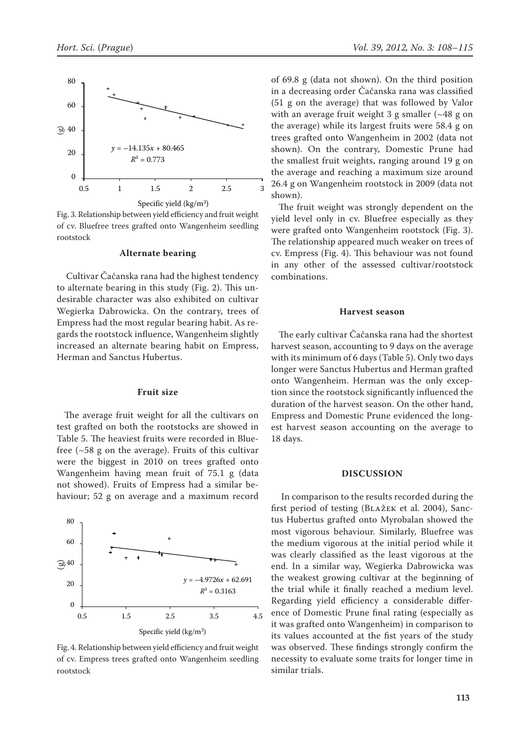

Fig. 3. Relationship between yield efficiency and fruit weight of cv. Bluefree trees grafted onto Wangenheim seedling rootstock

#### **Alternate bearing**

 Cultivar Čačanska rana had the highest tendency to alternate bearing in this study (Fig. 2). This undesirable character was also exhibited on cultivar Wegierka Dabrowicka. On the contrary, trees of Empress had the most regular bearing habit. As regards the rootstock influence, Wangenheim slightly increased an alternate bearing habit on Empress, Herman and Sanctus Hubertus. Go Figure 1 and the War of the War of the Tagan in Hubbary 1 and the Compact of the Compact of Compact of Compact of Compact of Compact of Compact of Compact of Compact of Compact of Compact of Compact of Compact of Compac

#### **Fruit size**

The average fruit weight for all the cultivars on test grafted on both the rootstocks are showed in Table 5. The heaviest fruits were recorded in Bluefree  $(-58$  g on the average). Fruits of this cultivar were the biggest in 2010 on trees grafted onto Wangenheim having mean fruit of 75.1 g (data not showed). Fruits of Empress had a similar behaviour; 52 g on average and a maximum record



Fig. 4. Relationship between yield efficiency and fruit weight of cv. Empress trees grafted onto Wangenheim seedling rootstock

of 69.8 g (data not shown). On the third position in a decreasing order Čačanska rana was classified (51 g on the average) that was followed by Valor with an average fruit weight 3 g smaller (~48 g on the average) while its largest fruits were 58.4 g on trees grafted onto Wangenheim in 2002 (data not shown). On the contrary, Domestic Prune had the smallest fruit weights, ranging around 19 g on the average and reaching a maximum size around 26.4 g on Wangenheim rootstock in 2009 (data not shown).

The fruit weight was strongly dependent on the yield level only in cv. Bluefree especially as they were grafted onto Wangenheim rootstock (Fig. 3). The relationship appeared much weaker on trees of cv. Empress (Fig. 4). This behaviour was not found in any other of the assessed cultivar/rootstock combinations.

#### **Harvest season**

The early cultivar Čačanska rana had the shortest harvest season, accounting to 9 days on the average with its minimum of 6 days (Table 5). Only two days longer were Sanctus Hubertus and Herman grafted onto Wangenheim. Herman was the only exception since the rootstock significantly influenced the duration of the harvest season. On the other hand, Empress and Domestic Prune evidenced the longest harvest season accounting on the average to 18 days.

#### **DISCUSSION**

In comparison to the results recorded during the first period of testing (Blažek et al. 2004), Sanctus Hubertus grafted onto Myrobalan showed the most vigorous behaviour. Similarly, Bluefree was the medium vigorous at the initial period while it was clearly classified as the least vigorous at the end. In a similar way, Wegierka Dabrowicka was the weakest growing cultivar at the beginning of the trial while it finally reached a medium level. Regarding yield efficiency a considerable difference of Domestic Prune final rating (especially as it was grafted onto Wangenheim) in comparison to its values accounted at the fist years of the study was observed. These findings strongly confirm the necessity to evaluate some traits for longer time in similar trials.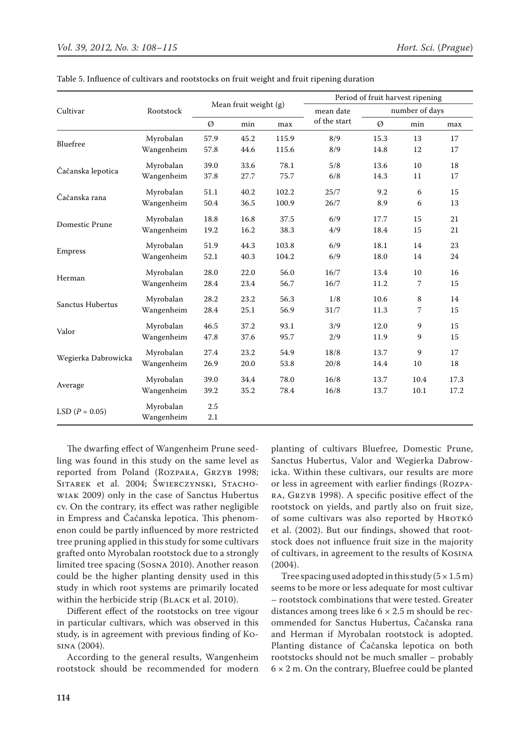|                     |            |      |                       |       |              |      | Period of fruit harvest ripening |      |
|---------------------|------------|------|-----------------------|-------|--------------|------|----------------------------------|------|
| Cultivar            | Rootstock  |      | Mean fruit weight (g) |       | mean date    |      | number of days                   |      |
|                     |            | Ø    | min                   | max   | of the start | Ø    | min                              | max  |
| Bluefree            | Myrobalan  | 57.9 | 45.2                  | 115.9 | 8/9          | 15.3 | 13                               | 17   |
|                     | Wangenheim | 57.8 | 44.6                  | 115.6 | 8/9          | 14.8 | 12                               | 17   |
|                     | Myrobalan  | 39.0 | 33.6                  | 78.1  | 5/8          | 13.6 | 10                               | 18   |
| Čačanska lepotica   | Wangenheim | 37.8 | 27.7                  | 75.7  | 6/8          | 14.3 | 11                               | 17   |
|                     | Myrobalan  | 51.1 | 40.2                  | 102.2 | 25/7         | 9.2  | 6                                | 15   |
| Čačanska rana       | Wangenheim | 50.4 | 36.5                  | 100.9 | 26/7         | 8.9  | 6                                | 13   |
|                     | Myrobalan  | 18.8 | 16.8                  | 37.5  | 6/9          | 17.7 | 15                               | 21   |
| Domestic Prune      | Wangenheim | 19.2 | 16.2                  | 38.3  | 4/9          | 18.4 | 15                               | 21   |
|                     | Myrobalan  | 51.9 | 44.3                  | 103.8 | 6/9          | 18.1 | 14                               | 23   |
| Empress             | Wangenheim | 52.1 | 40.3                  | 104.2 | 6/9          | 18.0 | 14                               | 24   |
|                     | Myrobalan  | 28.0 | 22.0                  | 56.0  | 16/7         | 13.4 | 10                               | 16   |
| Herman              | Wangenheim | 28.4 | 23.4                  | 56.7  | 16/7         | 11.2 | 7                                | 15   |
|                     | Myrobalan  | 28.2 | 23.2                  | 56.3  | 1/8          | 10.6 | 8                                | 14   |
| Sanctus Hubertus    | Wangenheim | 28.4 | 25.1                  | 56.9  | 31/7         | 11.3 | 7                                | 15   |
|                     | Myrobalan  | 46.5 | 37.2                  | 93.1  | 3/9          | 12.0 | 9                                | 15   |
| Valor               | Wangenheim | 47.8 | 37.6                  | 95.7  | 2/9          | 11.9 | 9                                | 15   |
|                     | Myrobalan  | 27.4 | 23.2                  | 54.9  | 18/8         | 13.7 | 9                                | 17   |
| Wegierka Dabrowicka | Wangenheim | 26.9 | 20.0                  | 53.8  | 20/8         | 14.4 | 10                               | 18   |
|                     | Myrobalan  | 39.0 | 34.4                  | 78.0  | 16/8         | 13.7 | 10.4                             | 17.3 |
| Average             | Wangenheim | 39.2 | 35.2                  | 78.4  | 16/8         | 13.7 | 10.1                             | 17.2 |
| LSD $(P = 0.05)$    | Myrobalan  | 2.5  |                       |       |              |      |                                  |      |
|                     | Wangenheim | 2.1  |                       |       |              |      |                                  |      |

Table 5. Influence of cultivars and rootstocks on fruit weight and fruit ripening duration

The dwarfing effect of Wangenheim Prune seedling was found in this study on the same level as reported from Poland (ROZPARA, GRZYB 1998; SITAREK et al. 2004; ŚWIERCZYNSKI, STACHOwiak 2009) only in the case of Sanctus Hubertus cv. On the contrary, its effect was rather negligible in Empress and Čačanska lepotica. This phenomenon could be partly influenced by more restricted tree pruning applied in this study for some cultivars grafted onto Myrobalan rootstock due to a strongly limited tree spacing (Sosna 2010). Another reason could be the higher planting density used in this study in which root systems are primarily located within the herbicide strip (Black et al. 2010).

Different effect of the rootstocks on tree vigour in particular cultivars, which was observed in this study, is in agreement with previous finding of Kosina (2004).

According to the general results, Wangenheim rootstock should be recommended for modern

planting of cultivars Bluefree, Domestic Prune, Sanctus Hubertus, Valor and Wegierka Dabrowicka. Within these cultivars, our results are more or less in agreement with earlier findings (Rozpara, Grzyb 1998). A specific positive effect of the rootstock on yields, and partly also on fruit size, of some cultivars was also reported by HROTKÓ et al. (2002). But our findings, showed that rootstock does not influence fruit size in the majority of cultivars, in agreement to the results of Kosina (2004).

Tree spacing used adopted in this study  $(5 \times 1.5 \text{ m})$ seems to be more or less adequate for most cultivar – rootstock combinations that were tested. Greater distances among trees like  $6 \times 2.5$  m should be recommended for Sanctus Hubertus, Čačanska rana and Herman if Myrobalan rootstock is adopted. Planting distance of Čačanska lepotica on both rootstocks should not be much smaller – probably  $6 \times 2$  m. On the contrary, Bluefree could be planted